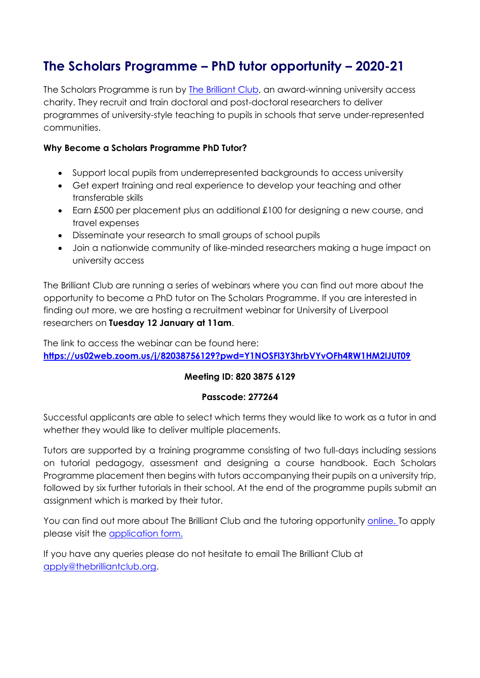# **The Scholars Programme – PhD tutor opportunity – 2020-21**

The Scholars Programme is run by [The Brilliant Club,](http://www.thebrilliantclub.org/about-the-brilliant-club/what-is-tbc/) an award-winning university access charity. They recruit and train doctoral and post-doctoral researchers to deliver programmes of university-style teaching to pupils in schools that serve under-represented communities.

## **Why Become a Scholars Programme PhD Tutor?**

- Support local pupils from underrepresented backgrounds to access university
- Get expert training and real experience to develop your teaching and other transferable skills
- Earn £500 per placement plus an additional £100 for designing a new course, and travel expenses
- Disseminate your research to small groups of school pupils
- Join a nationwide community of like-minded researchers making a huge impact on university access

The Brilliant Club are running a series of webinars where you can find out more about the opportunity to become a PhD tutor on The Scholars Programme. If you are interested in finding out more, we are hosting a recruitment webinar for University of Liverpool researchers on **Tuesday 12 January at 11am**.

The link to access the webinar can be found here: **<https://us02web.zoom.us/j/82038756129?pwd=Y1NOSFl3Y3hrbVYvOFh4RW1HM2lJUT09>**

## **Meeting ID: 820 3875 6129**

### **Passcode: 277264**

Successful applicants are able to select which terms they would like to work as a tutor in and whether they would like to deliver multiple placements.

Tutors are supported by a training programme consisting of two full-days including sessions on tutorial pedagogy, assessment and designing a course handbook. Each Scholars Programme placement then begins with tutors accompanying their pupils on a university trip, followed by six further tutorials in their school. At the end of the programme pupils submit an assignment which is marked by their tutor.

You can find out more about The Brilliant Club and the tutoring opportunity [online. T](http://www.thebrilliantclub.org/the-brilliant-club-for-researchers/get-involved/)o apply please visit the [application form.](https://www.tfaforms.com/421564)

If you have any queries please do not hesitate to email The Brilliant Club at [apply@thebrilliantclub.org.](mailto:apply@thebrilliantclub.org)